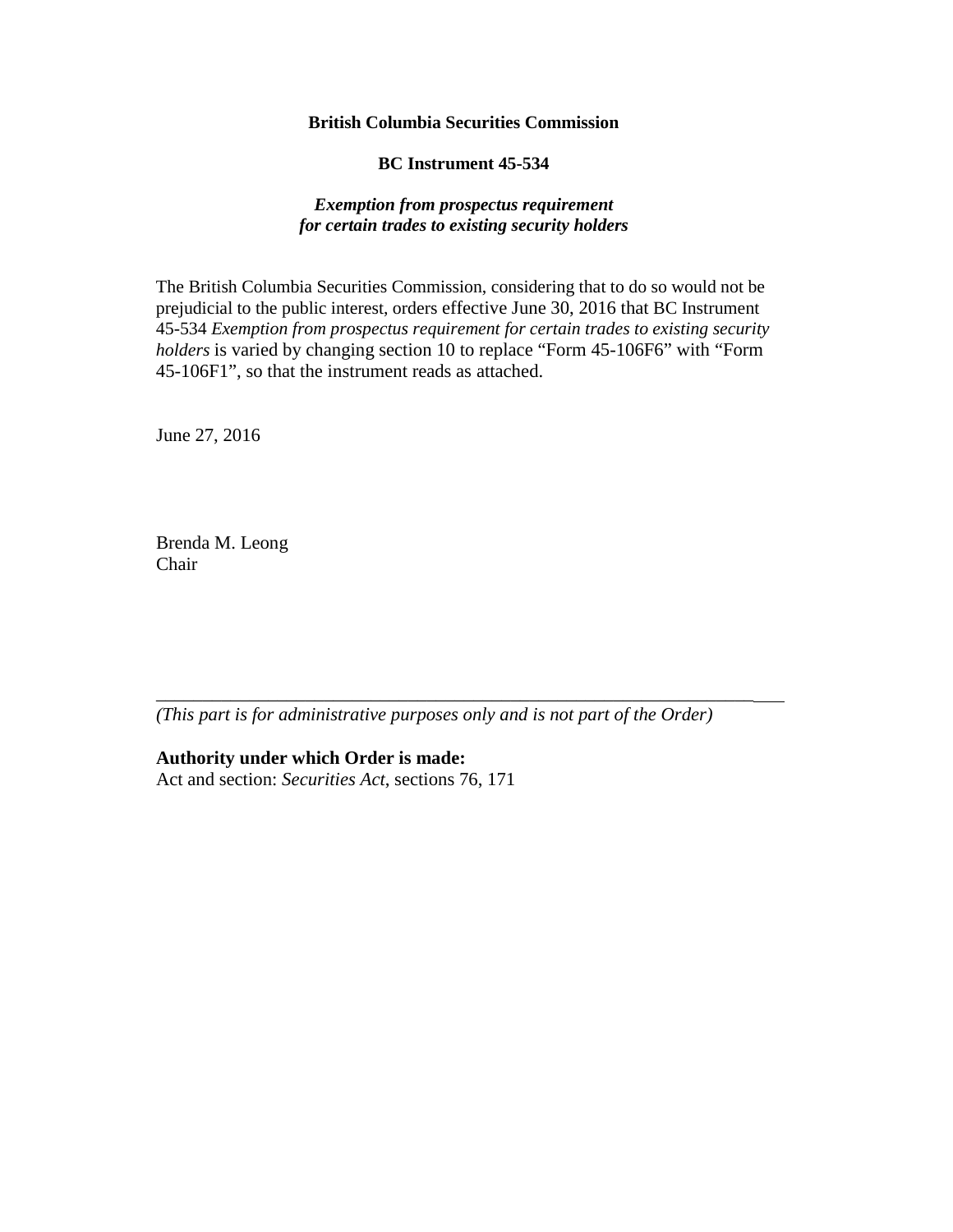### **British Columbia Securities Commission**

**BC Instrument 45-534**

### *Exemption from prospectus requirement for certain trades to existing security holders*

The British Columbia Securities Commission, considering that to do so would not be prejudicial to the public interest, orders effective June 30, 2016 that BC Instrument 45-534 *Exemption from prospectus requirement for certain trades to existing security holders* is varied by changing section 10 to replace "Form 45-106F6" with "Form 45-106F1", so that the instrument reads as attached.

June 27, 2016

Brenda M. Leong Chair

*(This part is for administrative purposes only and is not part of the Order)* 

\_\_\_\_\_\_\_\_\_\_\_\_\_\_\_\_\_\_\_\_\_\_\_\_\_\_\_\_\_\_\_\_\_\_\_\_\_\_\_\_\_\_\_\_\_\_\_\_\_\_\_\_\_\_\_\_\_\_\_\_\_\_\_\_

**Authority under which Order is made:** 

Act and section: *Securities Act*, sections 76, 171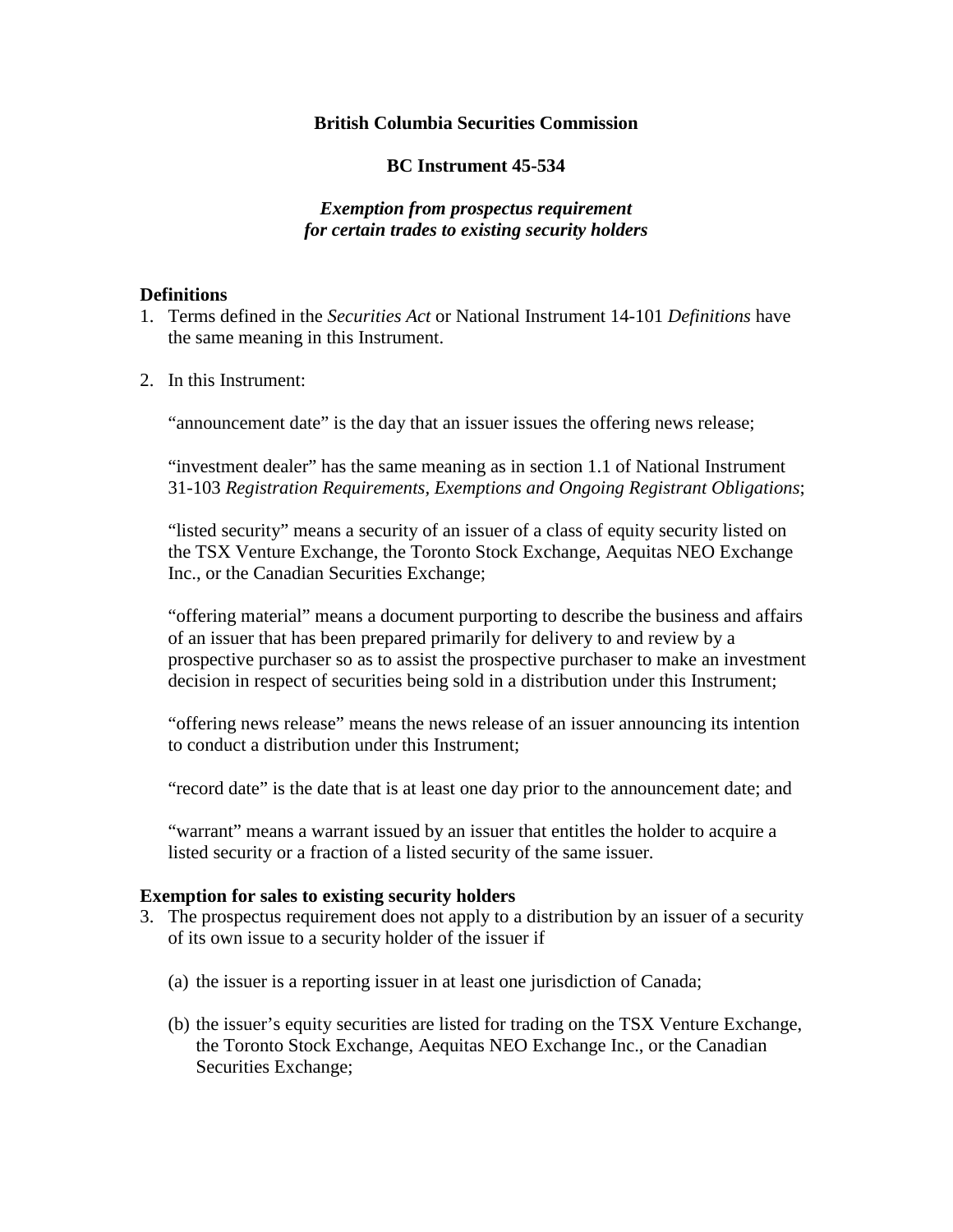## **British Columbia Securities Commission**

### **BC Instrument 45-534**

# *Exemption from prospectus requirement for certain trades to existing security holders*

### **Definitions**

- 1. Terms defined in the *Securities Act* or National Instrument 14-101 *Definitions* have the same meaning in this Instrument.
- 2. In this Instrument:

"announcement date" is the day that an issuer issues the offering news release;

"investment dealer" has the same meaning as in section 1.1 of National Instrument 31-103 *Registration Requirements, Exemptions and Ongoing Registrant Obligations*;

"listed security" means a security of an issuer of a class of equity security listed on the TSX Venture Exchange, the Toronto Stock Exchange, Aequitas NEO Exchange Inc., or the Canadian Securities Exchange;

"offering material" means a document purporting to describe the business and affairs of an issuer that has been prepared primarily for delivery to and review by a prospective purchaser so as to assist the prospective purchaser to make an investment decision in respect of securities being sold in a distribution under this Instrument;

"offering news release" means the news release of an issuer announcing its intention to conduct a distribution under this Instrument;

"record date" is the date that is at least one day prior to the announcement date; and

"warrant" means a warrant issued by an issuer that entitles the holder to acquire a listed security or a fraction of a listed security of the same issuer.

#### **Exemption for sales to existing security holders**

- 3. The prospectus requirement does not apply to a distribution by an issuer of a security of its own issue to a security holder of the issuer if
	- (a) the issuer is a reporting issuer in at least one jurisdiction of Canada;
	- (b) the issuer's equity securities are listed for trading on the TSX Venture Exchange, the Toronto Stock Exchange, Aequitas NEO Exchange Inc., or the Canadian Securities Exchange;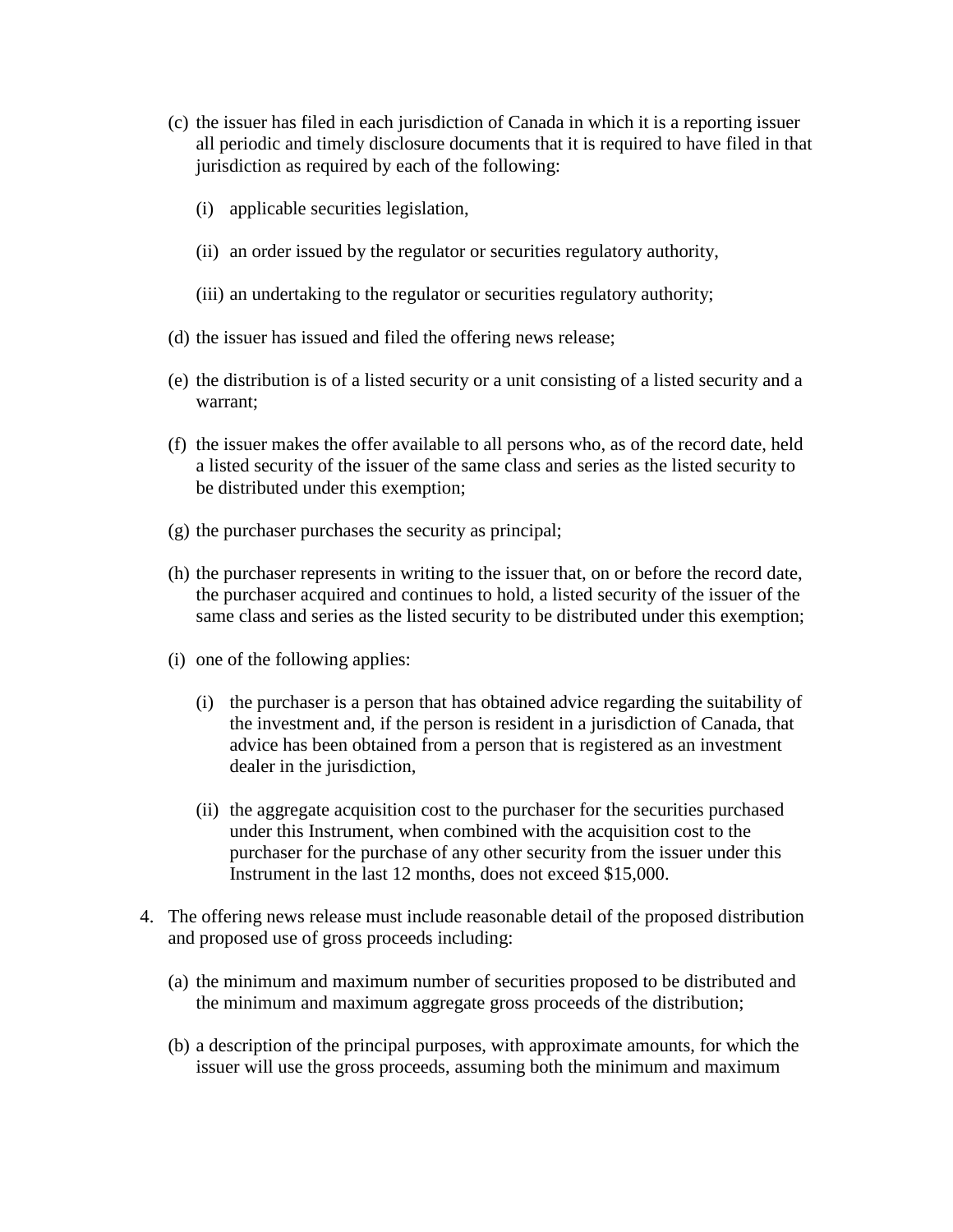- (c) the issuer has filed in each jurisdiction of Canada in which it is a reporting issuer all periodic and timely disclosure documents that it is required to have filed in that jurisdiction as required by each of the following:
	- (i) applicable securities legislation,
	- (ii) an order issued by the regulator or securities regulatory authority,
	- (iii) an undertaking to the regulator or securities regulatory authority;
- (d) the issuer has issued and filed the offering news release;
- (e) the distribution is of a listed security or a unit consisting of a listed security and a warrant;
- (f) the issuer makes the offer available to all persons who, as of the record date, held a listed security of the issuer of the same class and series as the listed security to be distributed under this exemption;
- (g) the purchaser purchases the security as principal;
- (h) the purchaser represents in writing to the issuer that, on or before the record date, the purchaser acquired and continues to hold, a listed security of the issuer of the same class and series as the listed security to be distributed under this exemption;
- (i) one of the following applies:
	- (i) the purchaser is a person that has obtained advice regarding the suitability of the investment and, if the person is resident in a jurisdiction of Canada, that advice has been obtained from a person that is registered as an investment dealer in the jurisdiction,
	- (ii) the aggregate acquisition cost to the purchaser for the securities purchased under this Instrument, when combined with the acquisition cost to the purchaser for the purchase of any other security from the issuer under this Instrument in the last 12 months, does not exceed \$15,000.
- 4. The offering news release must include reasonable detail of the proposed distribution and proposed use of gross proceeds including:
	- (a) the minimum and maximum number of securities proposed to be distributed and the minimum and maximum aggregate gross proceeds of the distribution;
	- (b) a description of the principal purposes, with approximate amounts, for which the issuer will use the gross proceeds, assuming both the minimum and maximum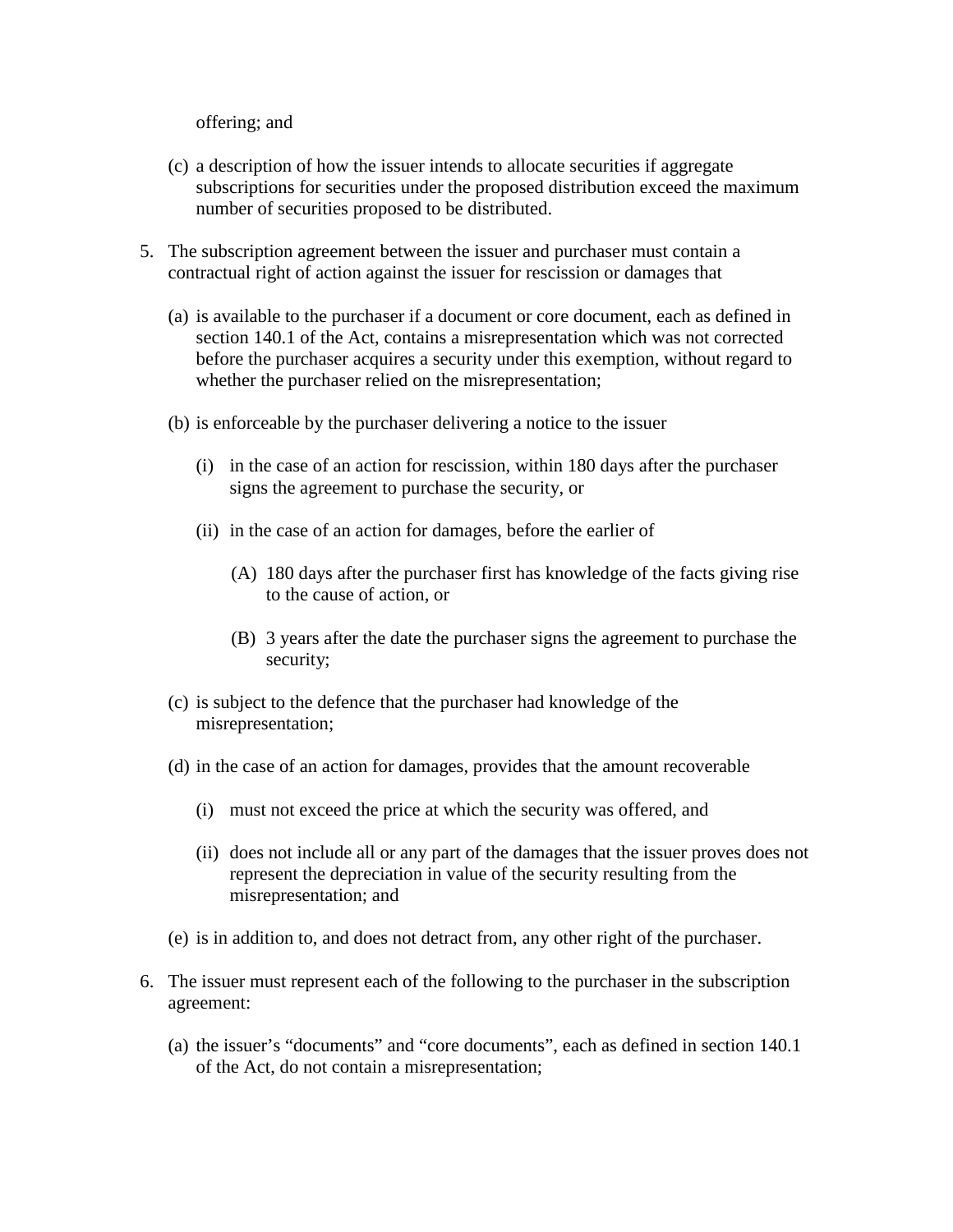offering; and

- (c) a description of how the issuer intends to allocate securities if aggregate subscriptions for securities under the proposed distribution exceed the maximum number of securities proposed to be distributed.
- 5. The subscription agreement between the issuer and purchaser must contain a contractual right of action against the issuer for rescission or damages that
	- (a) is available to the purchaser if a document or core document, each as defined in section 140.1 of the Act, contains a misrepresentation which was not corrected before the purchaser acquires a security under this exemption, without regard to whether the purchaser relied on the misrepresentation;
	- (b) is enforceable by the purchaser delivering a notice to the issuer
		- (i) in the case of an action for rescission, within 180 days after the purchaser signs the agreement to purchase the security, or
		- (ii) in the case of an action for damages, before the earlier of
			- (A) 180 days after the purchaser first has knowledge of the facts giving rise to the cause of action, or
			- (B) 3 years after the date the purchaser signs the agreement to purchase the security;
	- (c) is subject to the defence that the purchaser had knowledge of the misrepresentation;
	- (d) in the case of an action for damages, provides that the amount recoverable
		- (i) must not exceed the price at which the security was offered, and
		- (ii) does not include all or any part of the damages that the issuer proves does not represent the depreciation in value of the security resulting from the misrepresentation; and
	- (e) is in addition to, and does not detract from, any other right of the purchaser.
- 6. The issuer must represent each of the following to the purchaser in the subscription agreement:
	- (a) the issuer's "documents" and "core documents", each as defined in section 140.1 of the Act, do not contain a misrepresentation;